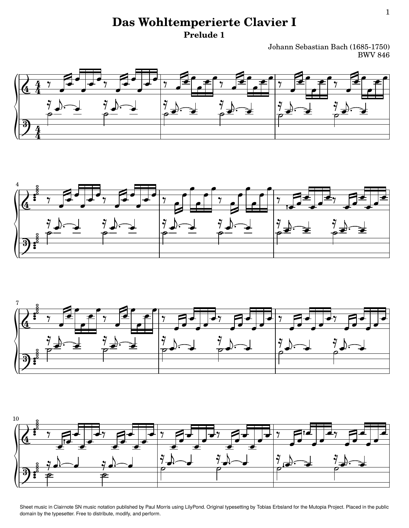## **Das Wohltemperierte Clavier I Prelude 1**

Johann Sebastian Bach (1685-1750) BWV 846









Sheet music in [Clairnote SN music notation](http://clairnote.org/sn/) published by Paul Morris using [LilyPond.](http://www.lilypond.org) Original typesetting by Tobias Erbsland for the [Mutopia Project.](http://www.mutopiaproject.org) Placed in the [public](http://creativecommons.org/publicdomain/zero/1.0/) [domain](http://creativecommons.org/publicdomain/zero/1.0/) by the typesetter. Free to distribute, modify, and perform.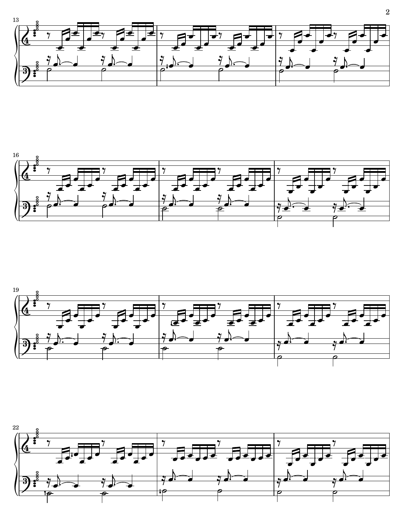